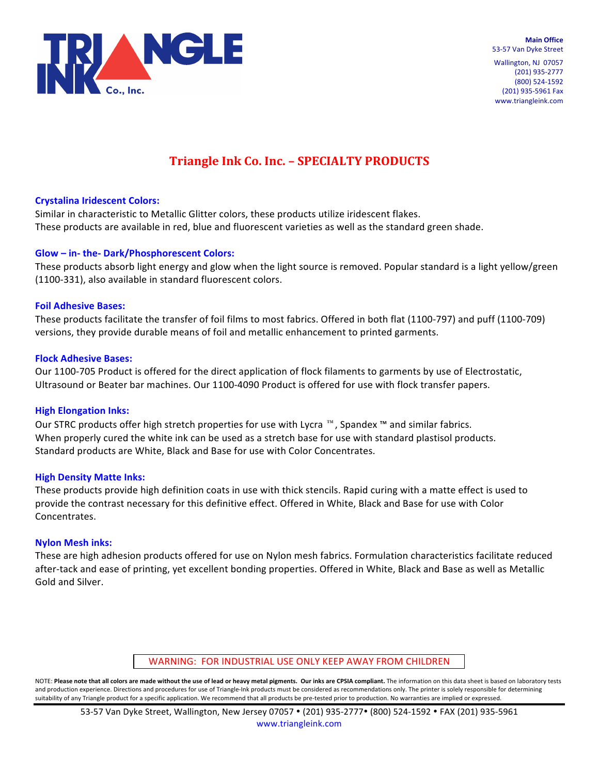

**Main Office** 53-57 Van Dyke Street

Wallington, NJ 07057 (201) 935-2777 (800) 524-1592 (201) 935-5961 Fax www.triangleink.com

# **Triangle Ink Co. Inc. - SPECIALTY PRODUCTS**

# **Crystalina Iridescent Colors:**

Similar in characteristic to Metallic Glitter colors, these products utilize iridescent flakes. These products are available in red, blue and fluorescent varieties as well as the standard green shade.

# **Glow – in- the- Dark/Phosphorescent Colors:**

These products absorb light energy and glow when the light source is removed. Popular standard is a light yellow/green (1100-331), also available in standard fluorescent colors.

# **Foil Adhesive Bases:**

These products facilitate the transfer of foil films to most fabrics. Offered in both flat (1100-797) and puff (1100-709) versions, they provide durable means of foil and metallic enhancement to printed garments.

# **Flock Adhesive Bases:**

Our 1100-705 Product is offered for the direct application of flock filaments to garments by use of Electrostatic, Ultrasound or Beater bar machines. Our 1100-4090 Product is offered for use with flock transfer papers.

# **High Elongation Inks:**

Our STRC products offer high stretch properties for use with Lycra  $™$ , Spandex ™ and similar fabrics. When properly cured the white ink can be used as a stretch base for use with standard plastisol products. Standard products are White, Black and Base for use with Color Concentrates.

# **High Density Matte Inks:**

These products provide high definition coats in use with thick stencils. Rapid curing with a matte effect is used to provide the contrast necessary for this definitive effect. Offered in White, Black and Base for use with Color Concentrates.

# **Nylon Mesh inks:**

These are high adhesion products offered for use on Nylon mesh fabrics. Formulation characteristics facilitate reduced after-tack and ease of printing, yet excellent bonding properties. Offered in White, Black and Base as well as Metallic Gold and Silver.

WARNING: FOR INDUSTRIAL USE ONLY KEEP AWAY FROM CHILDREN

NOTE: Please note that all colors are made without the use of lead or heavy metal pigments. Our inks are CPSIA compliant. The information on this data sheet is based on laboratory tests and production experience. Directions and procedures for use of Triangle-Ink products must be considered as recommendations only. The printer is solely responsible for determining suitability of any Triangle product for a specific application. We recommend that all products be pre-tested prior to production. No warranties are implied or expressed.

53-57 Van Dyke Street, Wallington, New Jersey 07057 • (201) 935-2777• (800) 524-1592 • FAX (201) 935-5961 www.triangleink.com